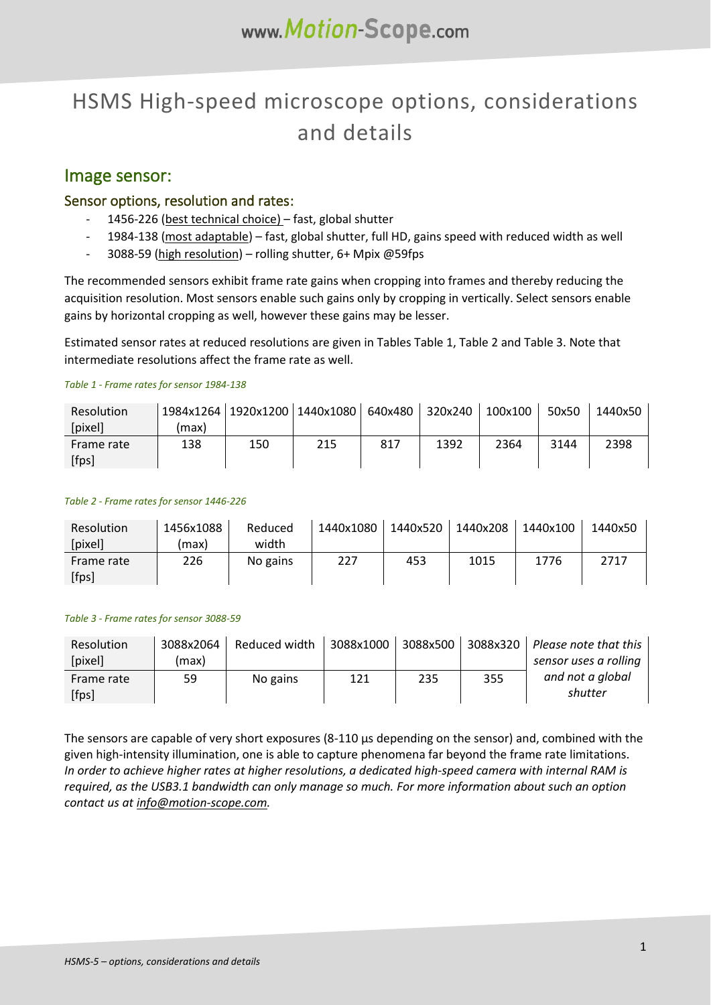# HSMS High-speed microscope options, considerations and details

### Image sensor:

#### Sensor options, resolution and rates:

- 1456-226 (best technical choice) fast, global shutter
- 1984-138 (most adaptable) fast, global shutter, full HD, gains speed with reduced width as well
- 3088-59 (high resolution) rolling shutter, 6+ Mpix @59fps

The recommended sensors exhibit frame rate gains when cropping into frames and thereby reducing the acquisition resolution. Most sensors enable such gains only by cropping in vertically. Select sensors enable gains by horizontal cropping as well, however these gains may be lesser.

Estimated sensor rates at reduced resolutions are given in Tables [Table](#page-0-0) 1[, Table](#page-0-1) 2 and [Table](#page-0-2) 3. Note that intermediate resolutions affect the frame rate as well.

#### <span id="page-0-0"></span>*Table 1 - Frame rates for sensor 1984-138*

| <b>Resolution</b> | 1984x1264   1920x1200   1440x1080 |     |     | 640x480 | 320x240 | 100x100 | 50x50 | 1440x50 |
|-------------------|-----------------------------------|-----|-----|---------|---------|---------|-------|---------|
| [pixel]           | (max)                             |     |     |         |         |         |       |         |
| Frame rate        | 138                               | 150 | 215 | 817     | 1392    | 2364    | 3144  | 2398    |
| [fps]             |                                   |     |     |         |         |         |       |         |

#### <span id="page-0-1"></span>*Table 2 - Frame rates for sensor 1446-226*

| Resolution | 1456x1088 | Reduced  | 1440x1080 | 1440x520 | 1440x208 | 1440x100 | 1440x50 |
|------------|-----------|----------|-----------|----------|----------|----------|---------|
| [pixel]    | (max)     | width    |           |          |          |          |         |
| Frame rate | 226       | No gains | 227       | 453      | 1015     | 1776     | 2717    |
| [fps]      |           |          |           |          |          |          |         |

#### <span id="page-0-2"></span>*Table 3 - Frame rates for sensor 3088-59*

| Resolution | 3088x2064 | Reduced width | 3088x1000 | 3088x500 | 3088x320 | Please note that this |
|------------|-----------|---------------|-----------|----------|----------|-----------------------|
| [pixel]    | (max)     |               |           |          |          | sensor uses a rolling |
| Frame rate | 59        | No gains      | 121       | 235      | 355      | and not a global      |
| [fps]      |           |               |           |          |          | shutter               |

The sensors are capable of very short exposures (8-110  $\mu$ s depending on the sensor) and, combined with the given high-intensity illumination, one is able to capture phenomena far beyond the frame rate limitations. *In order to achieve higher rates at higher resolutions, a dedicated high-speed camera with internal RAM is required, as the USB3.1 bandwidth can only manage so much. For more information about such an option contact us at info@motion-scope.com.*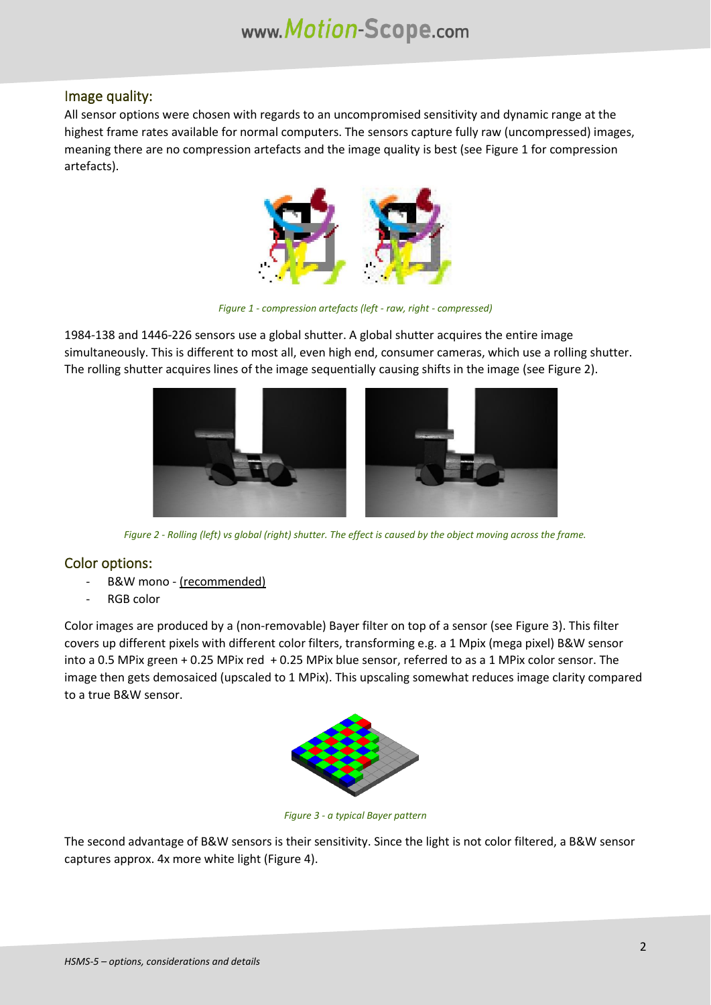### Image quality:

All sensor options were chosen with regards to an uncompromised sensitivity and dynamic range at the highest frame rates available for normal computers. The sensors capture fully raw (uncompressed) images, meaning there are no compression artefacts and the image quality is best (see [Figure 1](#page-1-0) for compression artefacts).



*Figure 1 - compression artefacts (left - raw, right - compressed)*

<span id="page-1-0"></span>1984-138 and 1446-226 sensors use a global shutter. A global shutter acquires the entire image simultaneously. This is different to most all, even high end, consumer cameras, which use a rolling shutter. The rolling shutter acquires lines of the image sequentially causing shifts in the image (se[e Figure 2\)](#page-1-1).



*Figure 2 - Rolling (left) vs global (right) shutter. The effect is caused by the object moving across the frame.*

### <span id="page-1-1"></span>Color options:

- B&W mono (recommended)
- RGB color

Color images are produced by a (non-removable) Bayer filter on top of a sensor (see [Figure 3\)](#page-1-2). This filter covers up different pixels with different color filters, transforming e.g. a 1 Mpix (mega pixel) B&W sensor into a 0.5 MPix green + 0.25 MPix red + 0.25 MPix blue sensor, referred to as a 1 MPix color sensor. The image then gets demosaiced (upscaled to 1 MPix). This upscaling somewhat reduces image clarity compared to a true B&W sensor.



*Figure 3 - a typical Bayer pattern*

<span id="page-1-2"></span>The second advantage of B&W sensors is their sensitivity. Since the light is not color filtered, a B&W sensor captures approx. 4x more white light [\(Figure 4\)](#page-2-0).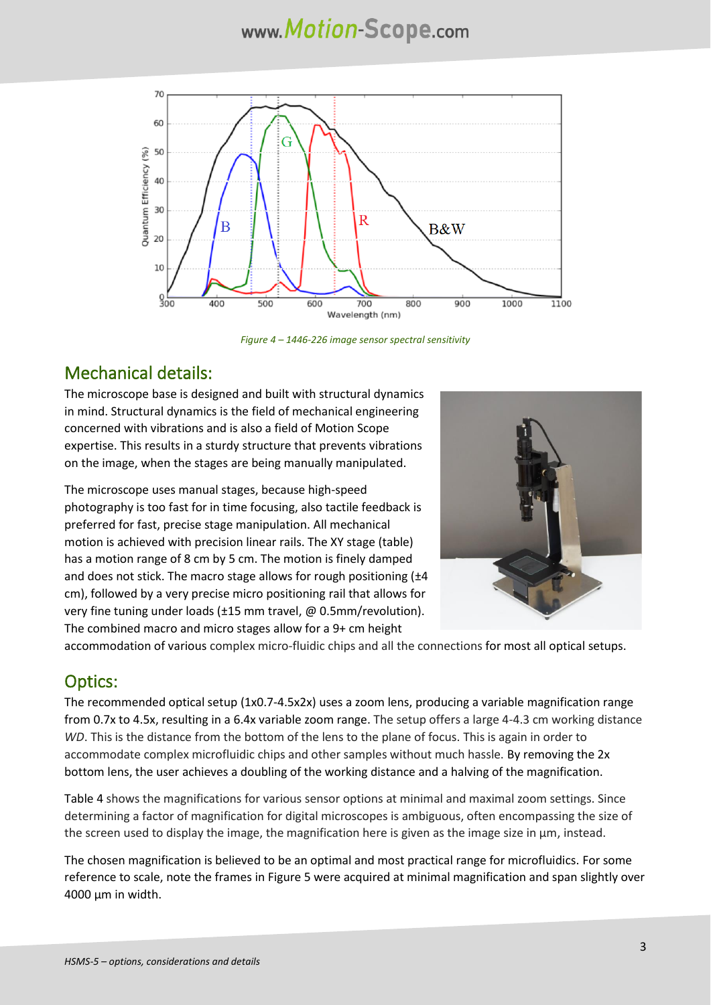# www.Motion-Scope.com



*Figure 4 – 1446-226 image sensor spectral sensitivity*

# <span id="page-2-0"></span>Mechanical details:

The microscope base is designed and built with structural dynamics in mind. Structural dynamics is the field of mechanical engineering concerned with vibrations and is also a field of Motion Scope expertise. This results in a sturdy structure that prevents vibrations on the image, when the stages are being manually manipulated.

The microscope uses manual stages, because high-speed photography is too fast for in time focusing, also tactile feedback is preferred for fast, precise stage manipulation. All mechanical motion is achieved with precision linear rails. The XY stage (table) has a motion range of 8 cm by 5 cm. The motion is finely damped and does not stick. The macro stage allows for rough positioning ( $\pm 4$ cm), followed by a very precise micro positioning rail that allows for very fine tuning under loads (±15 mm travel, @ 0.5mm/revolution). The combined macro and micro stages allow for a 9+ cm height



accommodation of various complex micro-fluidic chips and all the connections for most all optical setups.

### Optics:

The recommended optical setup (1x0.7-4.5x2x) uses a zoom lens, producing a variable magnification range from 0.7x to 4.5x, resulting in a 6.4x variable zoom range. The setup offers a large 4-4.3 cm working distance *WD*. This is the distance from the bottom of the lens to the plane of focus. This is again in order to accommodate complex microfluidic chips and other samples without much hassle. By removing the 2x bottom lens, the user achieves a doubling of the working distance and a halving of the magnification.

[Table 4](#page-3-0) shows the magnifications for various sensor options at minimal and maximal zoom settings. Since determining a factor of magnification for digital microscopes is ambiguous, often encompassing the size of the screen used to display the image, the magnification here is given as the image size in  $\mu$ m, instead.

The chosen magnification is believed to be an optimal and most practical range for microfluidics. For some reference to scale, note the frames in [Figure 5](#page-4-0) were acquired at minimal magnification and span slightly over 4000 µm in width.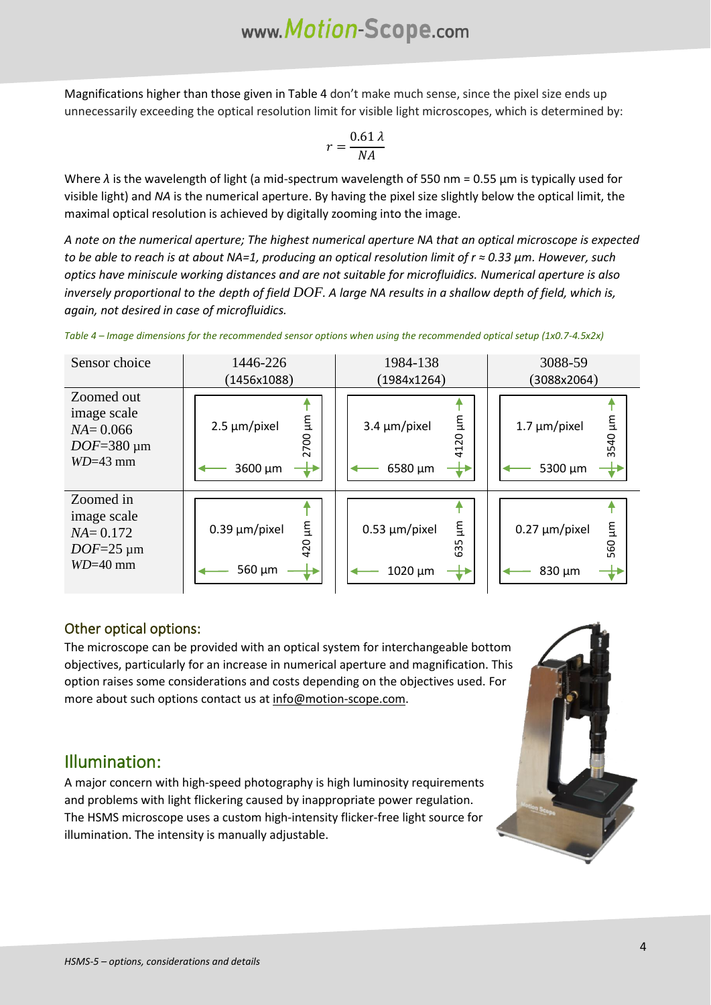Magnifications higher than those given i[n Table 4](#page-3-0) don't make much sense, since the pixel size ends up unnecessarily exceeding the optical resolution limit for visible light microscopes, which is determined by:

$$
r = \frac{0.61 \lambda}{NA}
$$

Where  $\lambda$  is the wavelength of light (a mid-spectrum wavelength of 550 nm = 0.55  $\mu$ m is typically used for visible light) and *NA* is the numerical aperture. By having the pixel size slightly below the optical limit, the maximal optical resolution is achieved by digitally zooming into the image.

*A note on the numerical aperture; The highest numerical aperture NA that an optical microscope is expected to be able to reach is at about NA=1, producing an optical resolution limit of r ≈ 0.33 µm. However, such optics have miniscule working distances and are not suitable for microfluidics. Numerical aperture is also inversely proportional to the depth of field DOF. A large NA results in a shallow depth of field, which is, again, not desired in case of microfluidics.*

| Sensor choice                                                              | 1446-226<br>(1456x1088)                     | 1984-138<br>(1984x1264)                                               | 3088-59<br>(3088x2064)                     |  |
|----------------------------------------------------------------------------|---------------------------------------------|-----------------------------------------------------------------------|--------------------------------------------|--|
| Zoomed out<br>image scale<br>$NA = 0.066$<br>$DOF=380 \mu m$<br>$WD=43$ mm | m1<br>$2.5 \mu m/p$ ixel<br>2700<br>3600 µm | Ē<br>$3.4 \mu m/p$ ixel<br>$\overline{c}$<br>$\frac{1}{4}$<br>6580 µm | E<br>$1.7 \mu m/p$ ixel<br>3540<br>5300 µm |  |
| Zoomed in<br>image scale<br>$NA = 0.172$<br>$DOF=25 \mu m$<br>$WD=40$ mm   | E<br>$0.39 \mu m/p$ ixel<br>420<br>560 µm   | m<br>$0.53 \mu m/p$ ixel<br>Ln<br>යි<br>1020 µm                       | E<br>$0.27 \mu m/p$ ixel<br>560<br>830 µm  |  |

<span id="page-3-0"></span>*Table 4 – Image dimensions for the recommended sensor options when using the recommended optical setup (1x0.7-4.5x2x)*

### Other optical options:

The microscope can be provided with an optical system for interchangeable bottom objectives, particularly for an increase in numerical aperture and magnification. This option raises some considerations and costs depending on the objectives used. For more about such options contact us at info@motion-scope.com.

## Illumination:

A major concern with high-speed photography is high luminosity requirements and problems with light flickering caused by inappropriate power regulation. The HSMS microscope uses a custom high-intensity flicker-free light source for illumination. The intensity is manually adjustable.